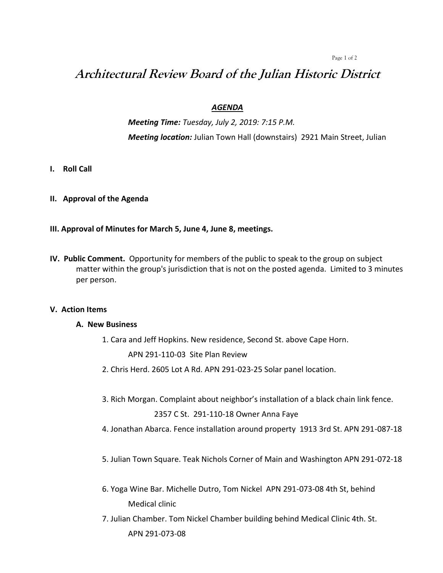#### Page 1 of 2

# **Architectural Review Board of the Julian Historic District**

## *AGENDA*

*Meeting Time: Tuesday, July 2, 2019: 7:15 P.M. Meeting location:* Julian Town Hall (downstairs) 2921 Main Street, Julian

- **I. Roll Call**
- **II. Approval of the Agenda**
- **III. Approval of Minutes for March 5, June 4, June 8, meetings.**
- **IV. Public Comment.** Opportunity for members of the public to speak to the group on subject matter within the group's jurisdiction that is not on the posted agenda. Limited to 3 minutes per person.

#### **V. Action Items**

#### **A. New Business**

- 1. Cara and Jeff Hopkins. New residence, Second St. above Cape Horn. APN 291-110-03 Site Plan Review
- 2. Chris Herd. 2605 Lot A Rd. APN 291-023-25 Solar panel location.
- 3. Rich Morgan. Complaint about neighbor's installation of a black chain link fence.

2357 C St. 291-110-18 Owner Anna Faye

- 4. Jonathan Abarca. Fence installation around property 1913 3rd St. APN 291-087-18
- 5. Julian Town Square. Teak Nichols Corner of Main and Washington APN 291-072-18
- 6. Yoga Wine Bar. Michelle Dutro, Tom Nickel APN 291-073-08 4th St, behind Medical clinic
- 7. Julian Chamber. Tom Nickel Chamber building behind Medical Clinic 4th. St. APN 291-073-08